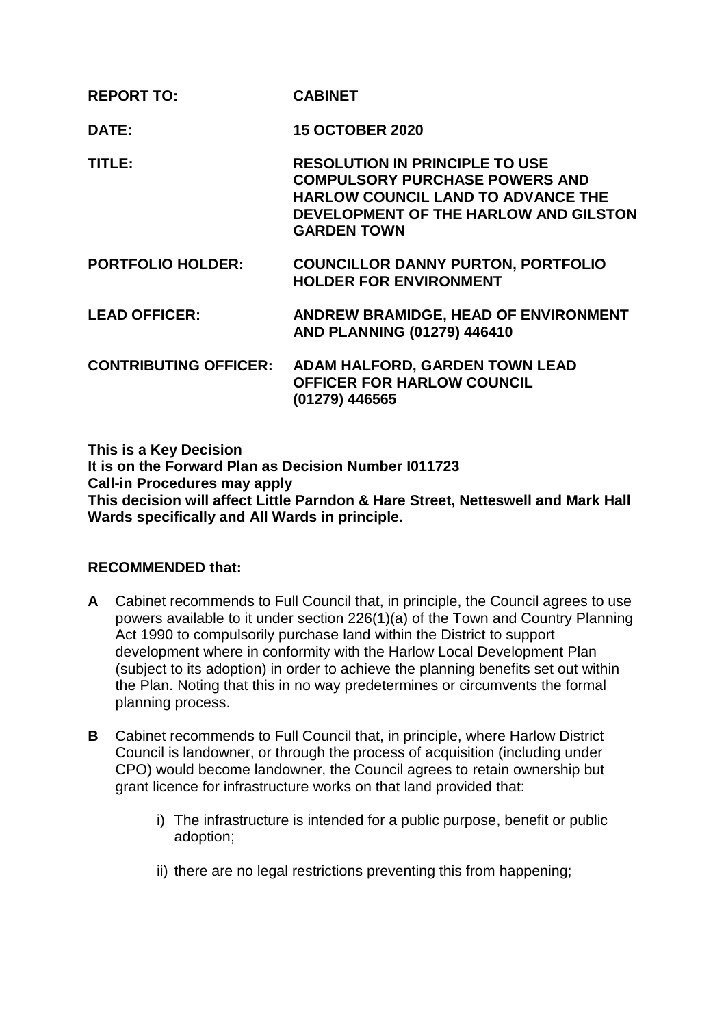| <b>REPORT TO:</b>            | <b>CABINET</b>                                                                                                                                                                             |
|------------------------------|--------------------------------------------------------------------------------------------------------------------------------------------------------------------------------------------|
| DATE:                        | <b>15 OCTOBER 2020</b>                                                                                                                                                                     |
| TITLE:                       | <b>RESOLUTION IN PRINCIPLE TO USE</b><br><b>COMPULSORY PURCHASE POWERS AND</b><br><b>HARLOW COUNCIL LAND TO ADVANCE THE</b><br>DEVELOPMENT OF THE HARLOW AND GILSTON<br><b>GARDEN TOWN</b> |
| <b>PORTFOLIO HOLDER:</b>     | <b>COUNCILLOR DANNY PURTON, PORTFOLIO</b><br><b>HOLDER FOR ENVIRONMENT</b>                                                                                                                 |
| <b>LEAD OFFICER:</b>         | ANDREW BRAMIDGE, HEAD OF ENVIRONMENT<br>AND PLANNING (01279) 446410                                                                                                                        |
| <b>CONTRIBUTING OFFICER:</b> | ADAM HALFORD, GARDEN TOWN LEAD<br><b>OFFICER FOR HARLOW COUNCIL</b><br>(01279) 446565                                                                                                      |

**This is a Key Decision It is on the Forward Plan as Decision Number I011723 Call-in Procedures may apply This decision will affect Little Parndon & Hare Street, Netteswell and Mark Hall Wards specifically and All Wards in principle.**

# **RECOMMENDED that:**

- **A** Cabinet recommends to Full Council that, in principle, the Council agrees to use powers available to it under section 226(1)(a) of the Town and Country Planning Act 1990 to compulsorily purchase land within the District to support development where in conformity with the Harlow Local Development Plan (subject to its adoption) in order to achieve the planning benefits set out within the Plan. Noting that this in no way predetermines or circumvents the formal planning process.
- **B** Cabinet recommends to Full Council that, in principle, where Harlow District Council is landowner, or through the process of acquisition (including under CPO) would become landowner, the Council agrees to retain ownership but grant licence for infrastructure works on that land provided that:
	- i) The infrastructure is intended for a public purpose, benefit or public adoption;
	- ii) there are no legal restrictions preventing this from happening;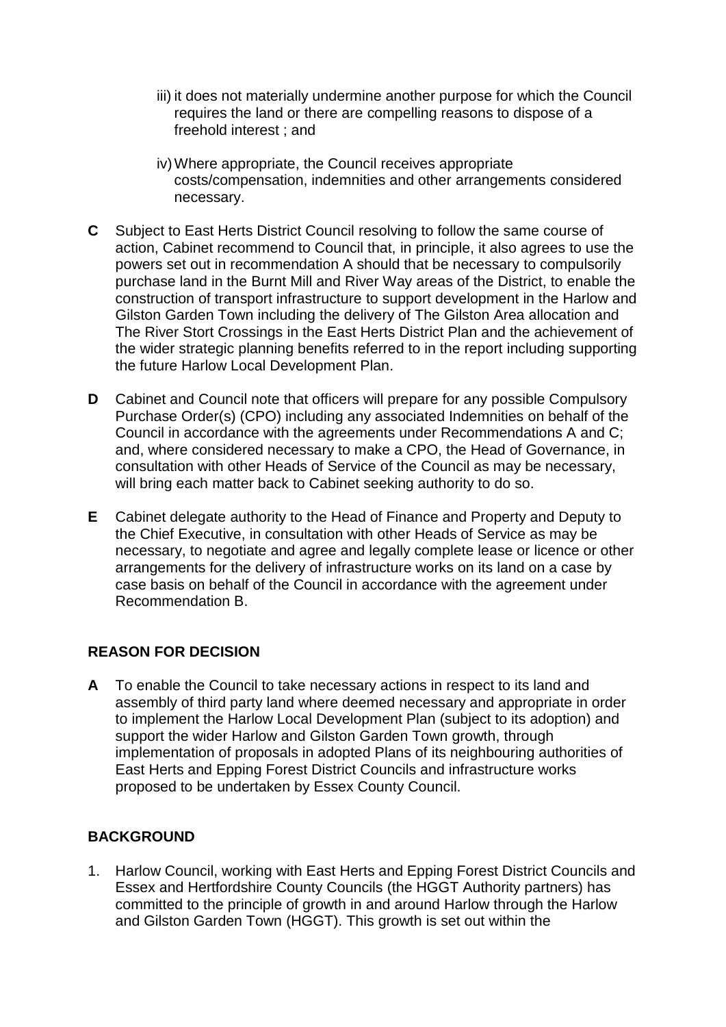- iii) it does not materially undermine another purpose for which the Council requires the land or there are compelling reasons to dispose of a freehold interest ; and
- iv)Where appropriate, the Council receives appropriate costs/compensation, indemnities and other arrangements considered necessary.
- **C** Subject to East Herts District Council resolving to follow the same course of action, Cabinet recommend to Council that, in principle, it also agrees to use the powers set out in recommendation A should that be necessary to compulsorily purchase land in the Burnt Mill and River Way areas of the District, to enable the construction of transport infrastructure to support development in the Harlow and Gilston Garden Town including the delivery of The Gilston Area allocation and The River Stort Crossings in the East Herts District Plan and the achievement of the wider strategic planning benefits referred to in the report including supporting the future Harlow Local Development Plan.
- **D** Cabinet and Council note that officers will prepare for any possible Compulsory Purchase Order(s) (CPO) including any associated Indemnities on behalf of the Council in accordance with the agreements under Recommendations A and C; and, where considered necessary to make a CPO, the Head of Governance, in consultation with other Heads of Service of the Council as may be necessary, will bring each matter back to Cabinet seeking authority to do so.
- **E** Cabinet delegate authority to the Head of Finance and Property and Deputy to the Chief Executive, in consultation with other Heads of Service as may be necessary, to negotiate and agree and legally complete lease or licence or other arrangements for the delivery of infrastructure works on its land on a case by case basis on behalf of the Council in accordance with the agreement under Recommendation B.

# **REASON FOR DECISION**

**A** To enable the Council to take necessary actions in respect to its land and assembly of third party land where deemed necessary and appropriate in order to implement the Harlow Local Development Plan (subject to its adoption) and support the wider Harlow and Gilston Garden Town growth, through implementation of proposals in adopted Plans of its neighbouring authorities of East Herts and Epping Forest District Councils and infrastructure works proposed to be undertaken by Essex County Council.

# **BACKGROUND**

1. Harlow Council, working with East Herts and Epping Forest District Councils and Essex and Hertfordshire County Councils (the HGGT Authority partners) has committed to the principle of growth in and around Harlow through the Harlow and Gilston Garden Town (HGGT). This growth is set out within the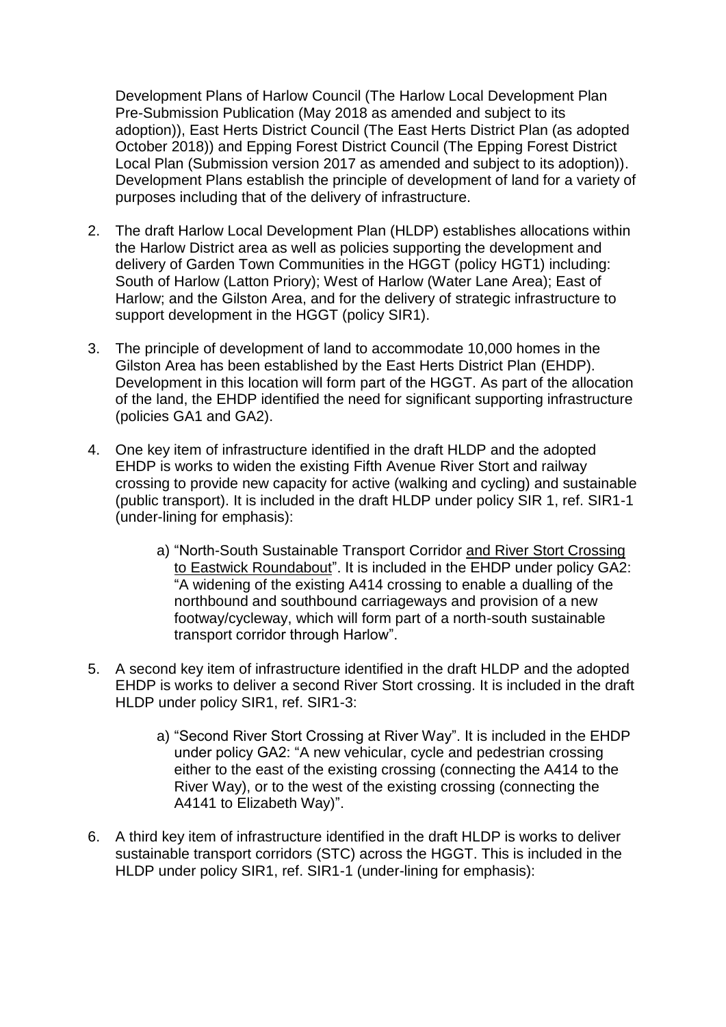Development Plans of Harlow Council (The Harlow Local Development Plan Pre-Submission Publication (May 2018 as amended and subject to its adoption)), East Herts District Council (The East Herts District Plan (as adopted October 2018)) and Epping Forest District Council (The Epping Forest District Local Plan (Submission version 2017 as amended and subject to its adoption)). Development Plans establish the principle of development of land for a variety of purposes including that of the delivery of infrastructure.

- 2. The draft Harlow Local Development Plan (HLDP) establishes allocations within the Harlow District area as well as policies supporting the development and delivery of Garden Town Communities in the HGGT (policy HGT1) including: South of Harlow (Latton Priory); West of Harlow (Water Lane Area); East of Harlow; and the Gilston Area, and for the delivery of strategic infrastructure to support development in the HGGT (policy SIR1).
- 3. The principle of development of land to accommodate 10,000 homes in the Gilston Area has been established by the East Herts District Plan (EHDP). Development in this location will form part of the HGGT. As part of the allocation of the land, the EHDP identified the need for significant supporting infrastructure (policies GA1 and GA2).
- 4. One key item of infrastructure identified in the draft HLDP and the adopted EHDP is works to widen the existing Fifth Avenue River Stort and railway crossing to provide new capacity for active (walking and cycling) and sustainable (public transport). It is included in the draft HLDP under policy SIR 1, ref. SIR1-1 (under-lining for emphasis):
	- a) "North-South Sustainable Transport Corridor and River Stort Crossing to Eastwick Roundabout". It is included in the EHDP under policy GA2: "A widening of the existing A414 crossing to enable a dualling of the northbound and southbound carriageways and provision of a new footway/cycleway, which will form part of a north-south sustainable transport corridor through Harlow".
- 5. A second key item of infrastructure identified in the draft HLDP and the adopted EHDP is works to deliver a second River Stort crossing. It is included in the draft HLDP under policy SIR1, ref. SIR1-3:
	- a) "Second River Stort Crossing at River Way". It is included in the EHDP under policy GA2: "A new vehicular, cycle and pedestrian crossing either to the east of the existing crossing (connecting the A414 to the River Way), or to the west of the existing crossing (connecting the A4141 to Elizabeth Way)".
- 6. A third key item of infrastructure identified in the draft HLDP is works to deliver sustainable transport corridors (STC) across the HGGT. This is included in the HLDP under policy SIR1, ref. SIR1-1 (under-lining for emphasis):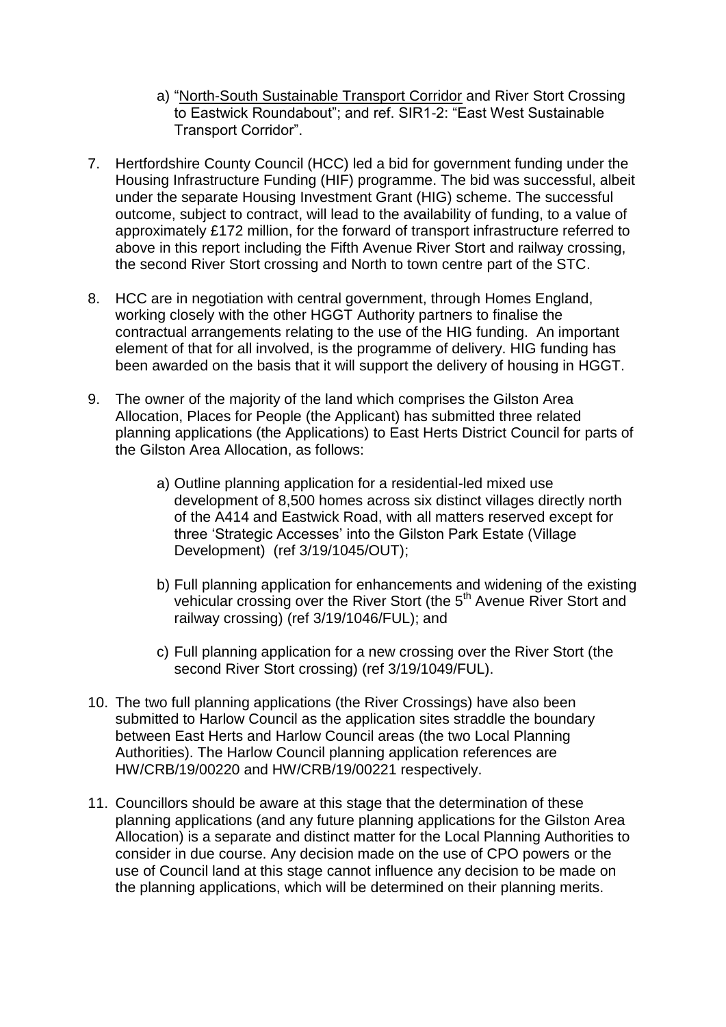- a) "North-South Sustainable Transport Corridor and River Stort Crossing to Eastwick Roundabout"; and ref. SIR1-2: "East West Sustainable Transport Corridor".
- 7. Hertfordshire County Council (HCC) led a bid for government funding under the Housing Infrastructure Funding (HIF) programme. The bid was successful, albeit under the separate Housing Investment Grant (HIG) scheme. The successful outcome, subject to contract, will lead to the availability of funding, to a value of approximately £172 million, for the forward of transport infrastructure referred to above in this report including the Fifth Avenue River Stort and railway crossing, the second River Stort crossing and North to town centre part of the STC.
- 8. HCC are in negotiation with central government, through Homes England, working closely with the other HGGT Authority partners to finalise the contractual arrangements relating to the use of the HIG funding. An important element of that for all involved, is the programme of delivery. HIG funding has been awarded on the basis that it will support the delivery of housing in HGGT.
- 9. The owner of the majority of the land which comprises the Gilston Area Allocation, Places for People (the Applicant) has submitted three related planning applications (the Applications) to East Herts District Council for parts of the Gilston Area Allocation, as follows:
	- a) Outline planning application for a residential-led mixed use development of 8,500 homes across six distinct villages directly north of the A414 and Eastwick Road, with all matters reserved except for three 'Strategic Accesses' into the Gilston Park Estate (Village Development) (ref 3/19/1045/OUT);
	- b) Full planning application for enhancements and widening of the existing vehicular crossing over the River Stort (the 5<sup>th</sup> Avenue River Stort and railway crossing) (ref 3/19/1046/FUL); and
	- c) Full planning application for a new crossing over the River Stort (the second River Stort crossing) (ref 3/19/1049/FUL).
- 10. The two full planning applications (the River Crossings) have also been submitted to Harlow Council as the application sites straddle the boundary between East Herts and Harlow Council areas (the two Local Planning Authorities). The Harlow Council planning application references are HW/CRB/19/00220 and HW/CRB/19/00221 respectively.
- 11. Councillors should be aware at this stage that the determination of these planning applications (and any future planning applications for the Gilston Area Allocation) is a separate and distinct matter for the Local Planning Authorities to consider in due course. Any decision made on the use of CPO powers or the use of Council land at this stage cannot influence any decision to be made on the planning applications, which will be determined on their planning merits.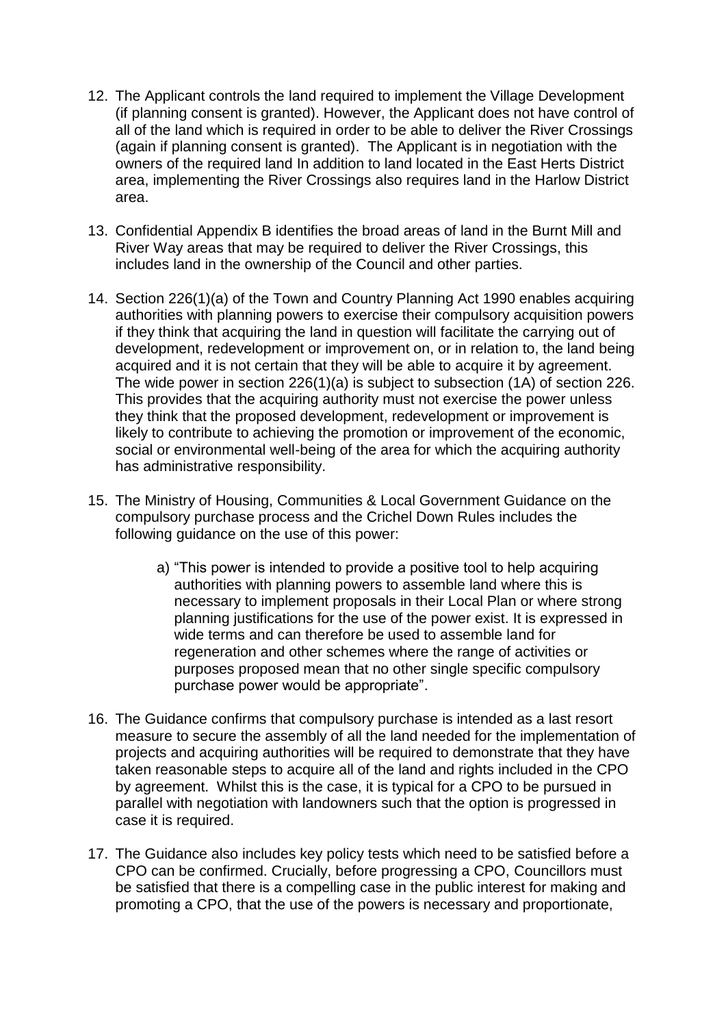- 12. The Applicant controls the land required to implement the Village Development (if planning consent is granted). However, the Applicant does not have control of all of the land which is required in order to be able to deliver the River Crossings (again if planning consent is granted). The Applicant is in negotiation with the owners of the required land In addition to land located in the East Herts District area, implementing the River Crossings also requires land in the Harlow District area.
- 13. Confidential Appendix B identifies the broad areas of land in the Burnt Mill and River Way areas that may be required to deliver the River Crossings, this includes land in the ownership of the Council and other parties.
- 14. Section 226(1)(a) of the Town and Country Planning Act 1990 enables acquiring authorities with planning powers to exercise their compulsory acquisition powers if they think that acquiring the land in question will facilitate the carrying out of development, redevelopment or improvement on, or in relation to, the land being acquired and it is not certain that they will be able to acquire it by agreement. The wide power in section 226(1)(a) is subject to subsection (1A) of section 226. This provides that the acquiring authority must not exercise the power unless they think that the proposed development, redevelopment or improvement is likely to contribute to achieving the promotion or improvement of the economic, social or environmental well-being of the area for which the acquiring authority has administrative responsibility.
- 15. The Ministry of Housing, Communities & Local Government Guidance on the compulsory purchase process and the Crichel Down Rules includes the following guidance on the use of this power:
	- a) "This power is intended to provide a positive tool to help acquiring authorities with planning powers to assemble land where this is necessary to implement proposals in their Local Plan or where strong planning justifications for the use of the power exist. It is expressed in wide terms and can therefore be used to assemble land for regeneration and other schemes where the range of activities or purposes proposed mean that no other single specific compulsory purchase power would be appropriate".
- 16. The Guidance confirms that compulsory purchase is intended as a last resort measure to secure the assembly of all the land needed for the implementation of projects and acquiring authorities will be required to demonstrate that they have taken reasonable steps to acquire all of the land and rights included in the CPO by agreement. Whilst this is the case, it is typical for a CPO to be pursued in parallel with negotiation with landowners such that the option is progressed in case it is required.
- 17. The Guidance also includes key policy tests which need to be satisfied before a CPO can be confirmed. Crucially, before progressing a CPO, Councillors must be satisfied that there is a compelling case in the public interest for making and promoting a CPO, that the use of the powers is necessary and proportionate,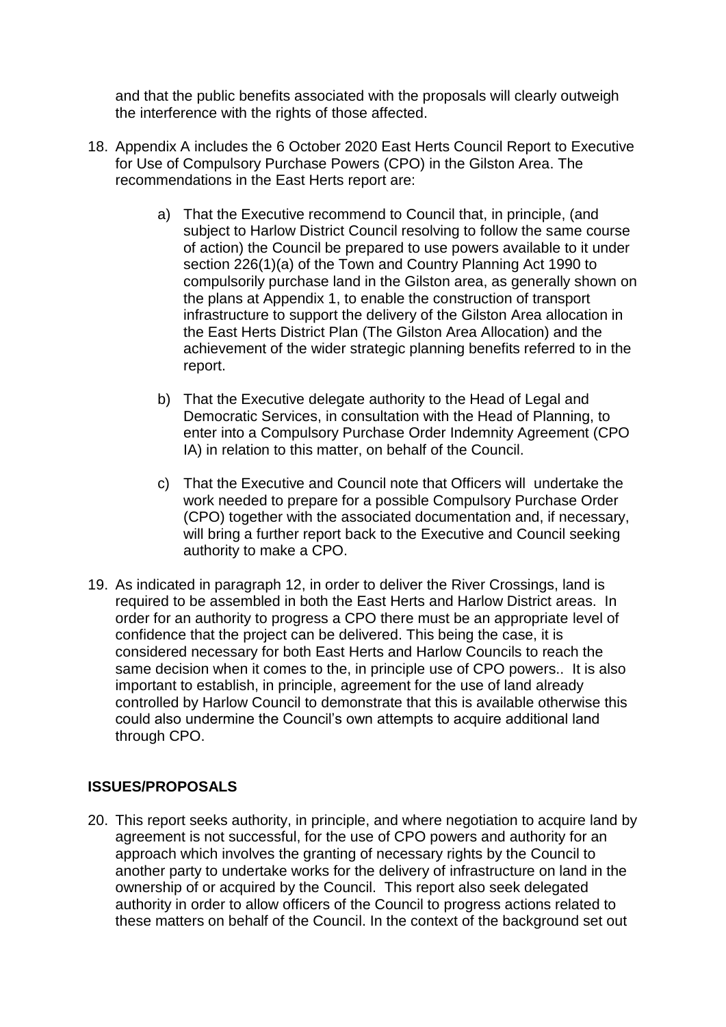and that the public benefits associated with the proposals will clearly outweigh the interference with the rights of those affected.

- 18. Appendix A includes the 6 October 2020 East Herts Council Report to Executive for Use of Compulsory Purchase Powers (CPO) in the Gilston Area. The recommendations in the East Herts report are:
	- a) That the Executive recommend to Council that, in principle, (and subject to Harlow District Council resolving to follow the same course of action) the Council be prepared to use powers available to it under section 226(1)(a) of the Town and Country Planning Act 1990 to compulsorily purchase land in the Gilston area, as generally shown on the plans at Appendix 1, to enable the construction of transport infrastructure to support the delivery of the Gilston Area allocation in the East Herts District Plan (The Gilston Area Allocation) and the achievement of the wider strategic planning benefits referred to in the report.
	- b) That the Executive delegate authority to the Head of Legal and Democratic Services, in consultation with the Head of Planning, to enter into a Compulsory Purchase Order Indemnity Agreement (CPO IA) in relation to this matter, on behalf of the Council.
	- c) That the Executive and Council note that Officers will undertake the work needed to prepare for a possible Compulsory Purchase Order (CPO) together with the associated documentation and, if necessary, will bring a further report back to the Executive and Council seeking authority to make a CPO.
- 19. As indicated in paragraph 12, in order to deliver the River Crossings, land is required to be assembled in both the East Herts and Harlow District areas. In order for an authority to progress a CPO there must be an appropriate level of confidence that the project can be delivered. This being the case, it is considered necessary for both East Herts and Harlow Councils to reach the same decision when it comes to the, in principle use of CPO powers.. It is also important to establish, in principle, agreement for the use of land already controlled by Harlow Council to demonstrate that this is available otherwise this could also undermine the Council's own attempts to acquire additional land through CPO.

### **ISSUES/PROPOSALS**

20. This report seeks authority, in principle, and where negotiation to acquire land by agreement is not successful, for the use of CPO powers and authority for an approach which involves the granting of necessary rights by the Council to another party to undertake works for the delivery of infrastructure on land in the ownership of or acquired by the Council. This report also seek delegated authority in order to allow officers of the Council to progress actions related to these matters on behalf of the Council. In the context of the background set out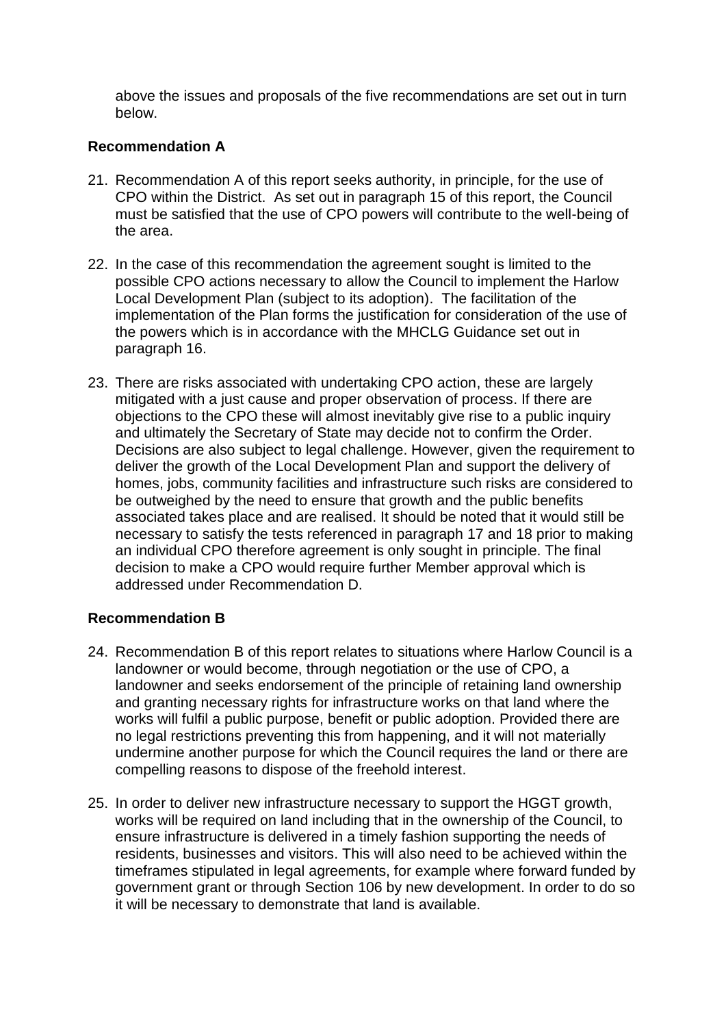above the issues and proposals of the five recommendations are set out in turn below.

### **Recommendation A**

- 21. Recommendation A of this report seeks authority, in principle, for the use of CPO within the District. As set out in paragraph 15 of this report, the Council must be satisfied that the use of CPO powers will contribute to the well-being of the area.
- 22. In the case of this recommendation the agreement sought is limited to the possible CPO actions necessary to allow the Council to implement the Harlow Local Development Plan (subject to its adoption). The facilitation of the implementation of the Plan forms the justification for consideration of the use of the powers which is in accordance with the MHCLG Guidance set out in paragraph 16.
- 23. There are risks associated with undertaking CPO action, these are largely mitigated with a just cause and proper observation of process. If there are objections to the CPO these will almost inevitably give rise to a public inquiry and ultimately the Secretary of State may decide not to confirm the Order. Decisions are also subject to legal challenge. However, given the requirement to deliver the growth of the Local Development Plan and support the delivery of homes, jobs, community facilities and infrastructure such risks are considered to be outweighed by the need to ensure that growth and the public benefits associated takes place and are realised. It should be noted that it would still be necessary to satisfy the tests referenced in paragraph 17 and 18 prior to making an individual CPO therefore agreement is only sought in principle. The final decision to make a CPO would require further Member approval which is addressed under Recommendation D.

# **Recommendation B**

- 24. Recommendation B of this report relates to situations where Harlow Council is a landowner or would become, through negotiation or the use of CPO, a landowner and seeks endorsement of the principle of retaining land ownership and granting necessary rights for infrastructure works on that land where the works will fulfil a public purpose, benefit or public adoption. Provided there are no legal restrictions preventing this from happening, and it will not materially undermine another purpose for which the Council requires the land or there are compelling reasons to dispose of the freehold interest.
- 25. In order to deliver new infrastructure necessary to support the HGGT growth, works will be required on land including that in the ownership of the Council, to ensure infrastructure is delivered in a timely fashion supporting the needs of residents, businesses and visitors. This will also need to be achieved within the timeframes stipulated in legal agreements, for example where forward funded by government grant or through Section 106 by new development. In order to do so it will be necessary to demonstrate that land is available.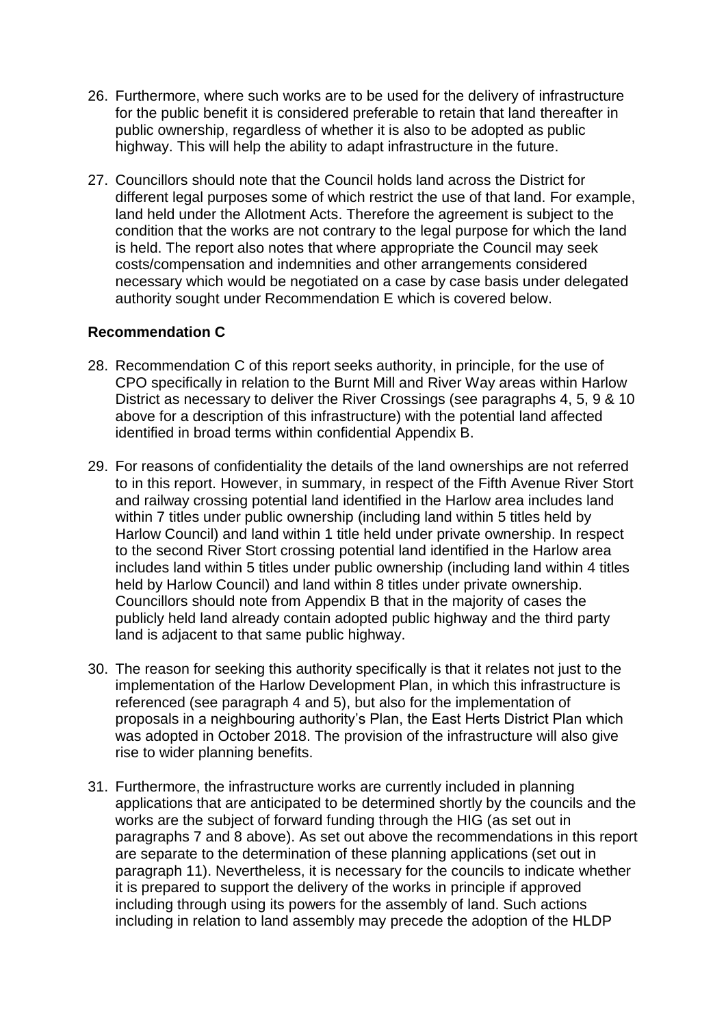- 26. Furthermore, where such works are to be used for the delivery of infrastructure for the public benefit it is considered preferable to retain that land thereafter in public ownership, regardless of whether it is also to be adopted as public highway. This will help the ability to adapt infrastructure in the future.
- 27. Councillors should note that the Council holds land across the District for different legal purposes some of which restrict the use of that land. For example, land held under the Allotment Acts. Therefore the agreement is subject to the condition that the works are not contrary to the legal purpose for which the land is held. The report also notes that where appropriate the Council may seek costs/compensation and indemnities and other arrangements considered necessary which would be negotiated on a case by case basis under delegated authority sought under Recommendation E which is covered below.

### **Recommendation C**

- 28. Recommendation C of this report seeks authority, in principle, for the use of CPO specifically in relation to the Burnt Mill and River Way areas within Harlow District as necessary to deliver the River Crossings (see paragraphs 4, 5, 9 & 10 above for a description of this infrastructure) with the potential land affected identified in broad terms within confidential Appendix B.
- 29. For reasons of confidentiality the details of the land ownerships are not referred to in this report. However, in summary, in respect of the Fifth Avenue River Stort and railway crossing potential land identified in the Harlow area includes land within 7 titles under public ownership (including land within 5 titles held by Harlow Council) and land within 1 title held under private ownership. In respect to the second River Stort crossing potential land identified in the Harlow area includes land within 5 titles under public ownership (including land within 4 titles held by Harlow Council) and land within 8 titles under private ownership. Councillors should note from Appendix B that in the majority of cases the publicly held land already contain adopted public highway and the third party land is adjacent to that same public highway.
- 30. The reason for seeking this authority specifically is that it relates not just to the implementation of the Harlow Development Plan, in which this infrastructure is referenced (see paragraph 4 and 5), but also for the implementation of proposals in a neighbouring authority's Plan, the East Herts District Plan which was adopted in October 2018. The provision of the infrastructure will also give rise to wider planning benefits.
- 31. Furthermore, the infrastructure works are currently included in planning applications that are anticipated to be determined shortly by the councils and the works are the subject of forward funding through the HIG (as set out in paragraphs 7 and 8 above). As set out above the recommendations in this report are separate to the determination of these planning applications (set out in paragraph 11). Nevertheless, it is necessary for the councils to indicate whether it is prepared to support the delivery of the works in principle if approved including through using its powers for the assembly of land. Such actions including in relation to land assembly may precede the adoption of the HLDP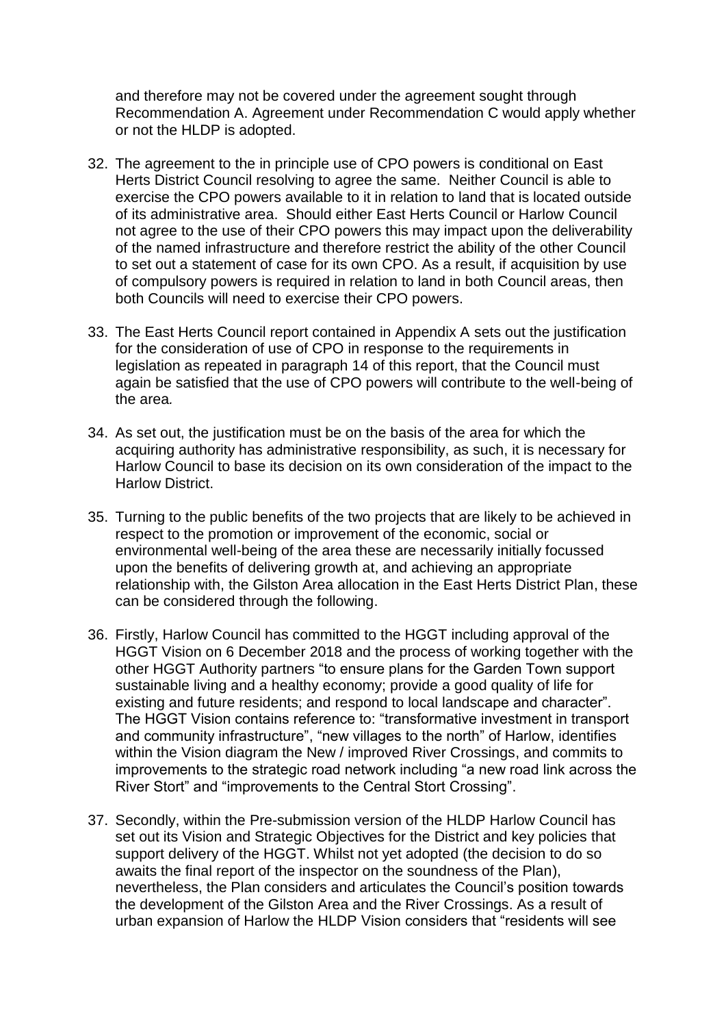and therefore may not be covered under the agreement sought through Recommendation A. Agreement under Recommendation C would apply whether or not the HLDP is adopted.

- 32. The agreement to the in principle use of CPO powers is conditional on East Herts District Council resolving to agree the same. Neither Council is able to exercise the CPO powers available to it in relation to land that is located outside of its administrative area. Should either East Herts Council or Harlow Council not agree to the use of their CPO powers this may impact upon the deliverability of the named infrastructure and therefore restrict the ability of the other Council to set out a statement of case for its own CPO. As a result, if acquisition by use of compulsory powers is required in relation to land in both Council areas, then both Councils will need to exercise their CPO powers.
- 33. The East Herts Council report contained in Appendix A sets out the justification for the consideration of use of CPO in response to the requirements in legislation as repeated in paragraph 14 of this report, that the Council must again be satisfied that the use of CPO powers will contribute to the well-being of the area*.*
- 34. As set out, the justification must be on the basis of the area for which the acquiring authority has administrative responsibility, as such, it is necessary for Harlow Council to base its decision on its own consideration of the impact to the Harlow District.
- 35. Turning to the public benefits of the two projects that are likely to be achieved in respect to the promotion or improvement of the economic, social or environmental well-being of the area these are necessarily initially focussed upon the benefits of delivering growth at, and achieving an appropriate relationship with, the Gilston Area allocation in the East Herts District Plan, these can be considered through the following.
- 36. Firstly, Harlow Council has committed to the HGGT including approval of the HGGT Vision on 6 December 2018 and the process of working together with the other HGGT Authority partners "to ensure plans for the Garden Town support sustainable living and a healthy economy; provide a good quality of life for existing and future residents; and respond to local landscape and character". The HGGT Vision contains reference to: "transformative investment in transport and community infrastructure", "new villages to the north" of Harlow, identifies within the Vision diagram the New / improved River Crossings, and commits to improvements to the strategic road network including "a new road link across the River Stort" and "improvements to the Central Stort Crossing".
- 37. Secondly, within the Pre-submission version of the HLDP Harlow Council has set out its Vision and Strategic Objectives for the District and key policies that support delivery of the HGGT. Whilst not yet adopted (the decision to do so awaits the final report of the inspector on the soundness of the Plan), nevertheless, the Plan considers and articulates the Council's position towards the development of the Gilston Area and the River Crossings. As a result of urban expansion of Harlow the HLDP Vision considers that "residents will see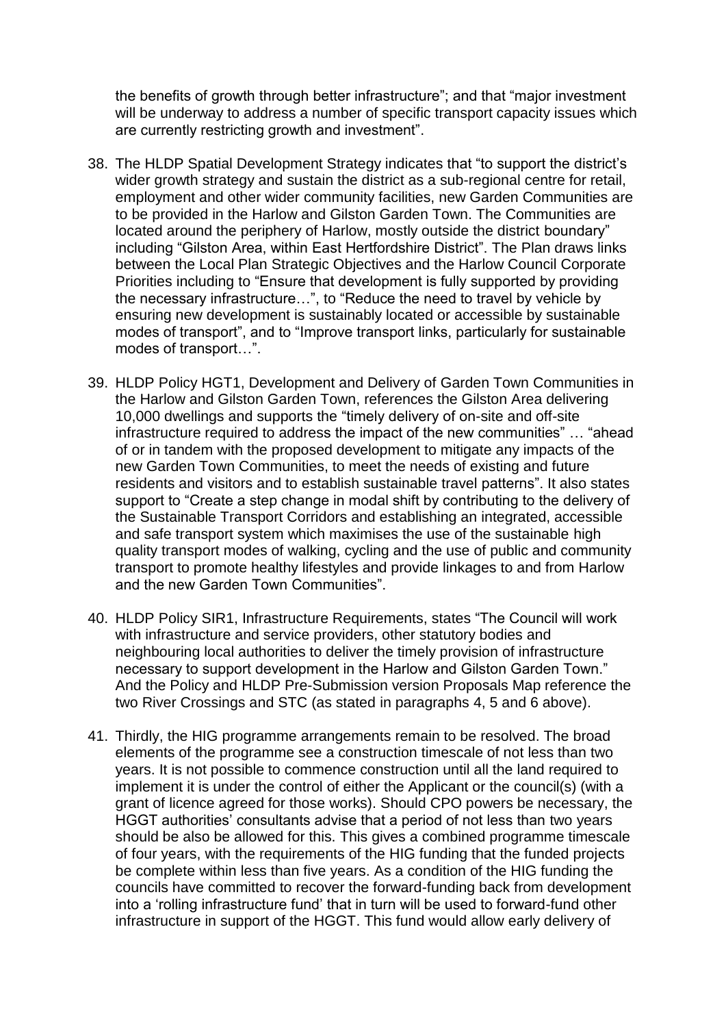the benefits of growth through better infrastructure"; and that "major investment will be underway to address a number of specific transport capacity issues which are currently restricting growth and investment".

- 38. The HLDP Spatial Development Strategy indicates that "to support the district's wider growth strategy and sustain the district as a sub-regional centre for retail, employment and other wider community facilities, new Garden Communities are to be provided in the Harlow and Gilston Garden Town. The Communities are located around the periphery of Harlow, mostly outside the district boundary" including "Gilston Area, within East Hertfordshire District". The Plan draws links between the Local Plan Strategic Objectives and the Harlow Council Corporate Priorities including to "Ensure that development is fully supported by providing the necessary infrastructure…", to "Reduce the need to travel by vehicle by ensuring new development is sustainably located or accessible by sustainable modes of transport", and to "Improve transport links, particularly for sustainable modes of transport…".
- 39. HLDP Policy HGT1, Development and Delivery of Garden Town Communities in the Harlow and Gilston Garden Town, references the Gilston Area delivering 10,000 dwellings and supports the "timely delivery of on-site and off-site infrastructure required to address the impact of the new communities" … "ahead of or in tandem with the proposed development to mitigate any impacts of the new Garden Town Communities, to meet the needs of existing and future residents and visitors and to establish sustainable travel patterns". It also states support to "Create a step change in modal shift by contributing to the delivery of the Sustainable Transport Corridors and establishing an integrated, accessible and safe transport system which maximises the use of the sustainable high quality transport modes of walking, cycling and the use of public and community transport to promote healthy lifestyles and provide linkages to and from Harlow and the new Garden Town Communities".
- 40. HLDP Policy SIR1, Infrastructure Requirements, states "The Council will work with infrastructure and service providers, other statutory bodies and neighbouring local authorities to deliver the timely provision of infrastructure necessary to support development in the Harlow and Gilston Garden Town." And the Policy and HLDP Pre-Submission version Proposals Map reference the two River Crossings and STC (as stated in paragraphs 4, 5 and 6 above).
- 41. Thirdly, the HIG programme arrangements remain to be resolved. The broad elements of the programme see a construction timescale of not less than two years. It is not possible to commence construction until all the land required to implement it is under the control of either the Applicant or the council(s) (with a grant of licence agreed for those works). Should CPO powers be necessary, the HGGT authorities' consultants advise that a period of not less than two years should be also be allowed for this. This gives a combined programme timescale of four years, with the requirements of the HIG funding that the funded projects be complete within less than five years. As a condition of the HIG funding the councils have committed to recover the forward-funding back from development into a 'rolling infrastructure fund' that in turn will be used to forward-fund other infrastructure in support of the HGGT. This fund would allow early delivery of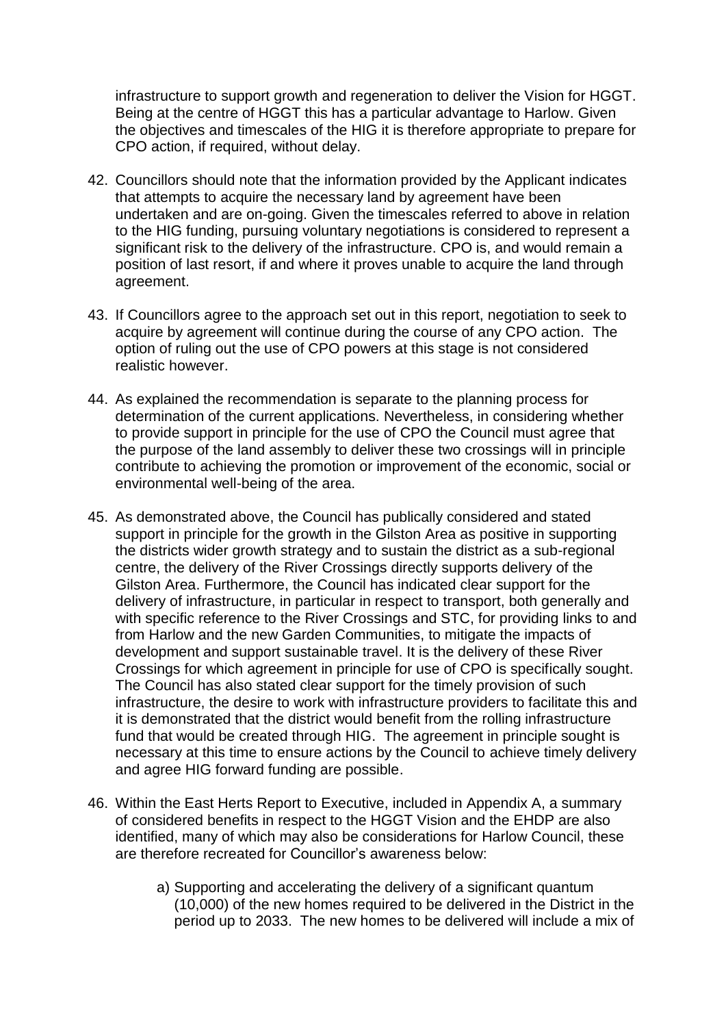infrastructure to support growth and regeneration to deliver the Vision for HGGT. Being at the centre of HGGT this has a particular advantage to Harlow. Given the objectives and timescales of the HIG it is therefore appropriate to prepare for CPO action, if required, without delay.

- 42. Councillors should note that the information provided by the Applicant indicates that attempts to acquire the necessary land by agreement have been undertaken and are on-going. Given the timescales referred to above in relation to the HIG funding, pursuing voluntary negotiations is considered to represent a significant risk to the delivery of the infrastructure. CPO is, and would remain a position of last resort, if and where it proves unable to acquire the land through agreement.
- 43. If Councillors agree to the approach set out in this report, negotiation to seek to acquire by agreement will continue during the course of any CPO action. The option of ruling out the use of CPO powers at this stage is not considered realistic however.
- 44. As explained the recommendation is separate to the planning process for determination of the current applications. Nevertheless, in considering whether to provide support in principle for the use of CPO the Council must agree that the purpose of the land assembly to deliver these two crossings will in principle contribute to achieving the promotion or improvement of the economic, social or environmental well-being of the area.
- 45. As demonstrated above, the Council has publically considered and stated support in principle for the growth in the Gilston Area as positive in supporting the districts wider growth strategy and to sustain the district as a sub-regional centre, the delivery of the River Crossings directly supports delivery of the Gilston Area. Furthermore, the Council has indicated clear support for the delivery of infrastructure, in particular in respect to transport, both generally and with specific reference to the River Crossings and STC, for providing links to and from Harlow and the new Garden Communities, to mitigate the impacts of development and support sustainable travel. It is the delivery of these River Crossings for which agreement in principle for use of CPO is specifically sought. The Council has also stated clear support for the timely provision of such infrastructure, the desire to work with infrastructure providers to facilitate this and it is demonstrated that the district would benefit from the rolling infrastructure fund that would be created through HIG. The agreement in principle sought is necessary at this time to ensure actions by the Council to achieve timely delivery and agree HIG forward funding are possible.
- 46. Within the East Herts Report to Executive, included in Appendix A, a summary of considered benefits in respect to the HGGT Vision and the EHDP are also identified, many of which may also be considerations for Harlow Council, these are therefore recreated for Councillor's awareness below:
	- a) Supporting and accelerating the delivery of a significant quantum (10,000) of the new homes required to be delivered in the District in the period up to 2033. The new homes to be delivered will include a mix of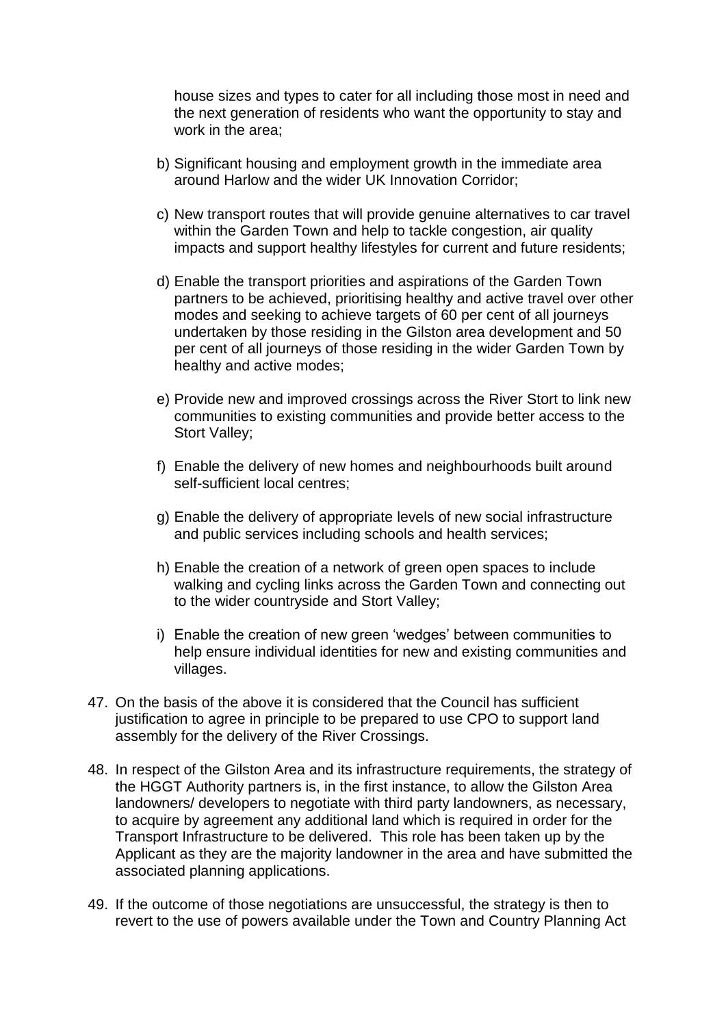house sizes and types to cater for all including those most in need and the next generation of residents who want the opportunity to stay and work in the area;

- b) Significant housing and employment growth in the immediate area around Harlow and the wider UK Innovation Corridor;
- c) New transport routes that will provide genuine alternatives to car travel within the Garden Town and help to tackle congestion, air quality impacts and support healthy lifestyles for current and future residents;
- d) Enable the transport priorities and aspirations of the Garden Town partners to be achieved, prioritising healthy and active travel over other modes and seeking to achieve targets of 60 per cent of all journeys undertaken by those residing in the Gilston area development and 50 per cent of all journeys of those residing in the wider Garden Town by healthy and active modes;
- e) Provide new and improved crossings across the River Stort to link new communities to existing communities and provide better access to the Stort Valley;
- f) Enable the delivery of new homes and neighbourhoods built around self-sufficient local centres;
- g) Enable the delivery of appropriate levels of new social infrastructure and public services including schools and health services;
- h) Enable the creation of a network of green open spaces to include walking and cycling links across the Garden Town and connecting out to the wider countryside and Stort Valley;
- i) Enable the creation of new green 'wedges' between communities to help ensure individual identities for new and existing communities and villages.
- 47. On the basis of the above it is considered that the Council has sufficient justification to agree in principle to be prepared to use CPO to support land assembly for the delivery of the River Crossings.
- 48. In respect of the Gilston Area and its infrastructure requirements, the strategy of the HGGT Authority partners is, in the first instance, to allow the Gilston Area landowners/ developers to negotiate with third party landowners, as necessary, to acquire by agreement any additional land which is required in order for the Transport Infrastructure to be delivered. This role has been taken up by the Applicant as they are the majority landowner in the area and have submitted the associated planning applications.
- 49. If the outcome of those negotiations are unsuccessful, the strategy is then to revert to the use of powers available under the Town and Country Planning Act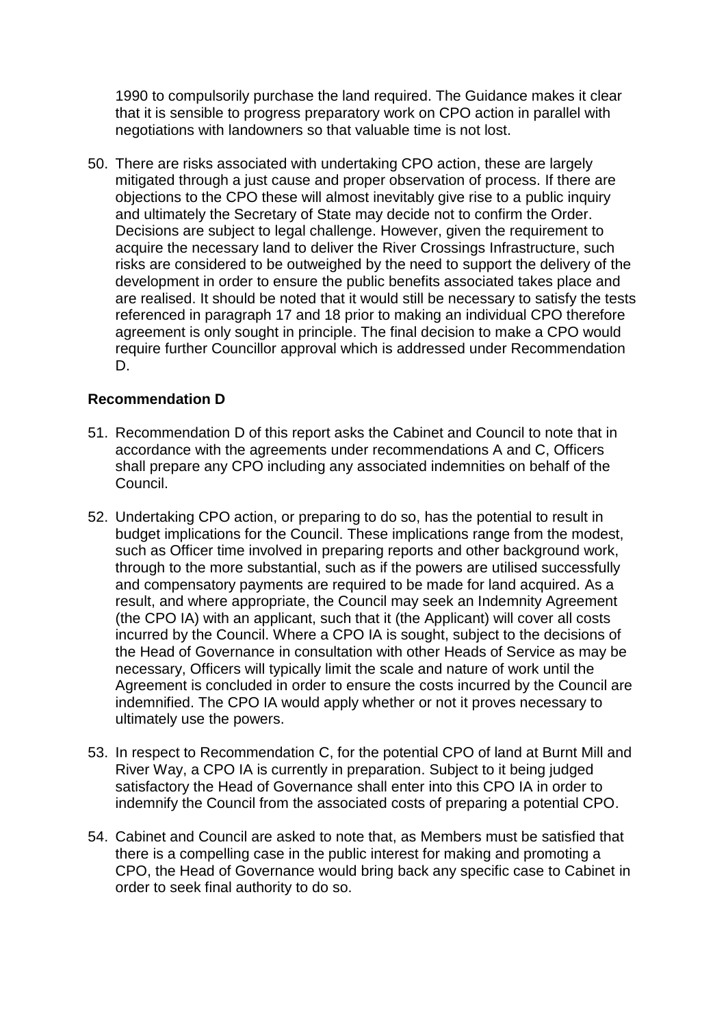1990 to compulsorily purchase the land required. The Guidance makes it clear that it is sensible to progress preparatory work on CPO action in parallel with negotiations with landowners so that valuable time is not lost.

50. There are risks associated with undertaking CPO action, these are largely mitigated through a just cause and proper observation of process. If there are objections to the CPO these will almost inevitably give rise to a public inquiry and ultimately the Secretary of State may decide not to confirm the Order. Decisions are subject to legal challenge. However, given the requirement to acquire the necessary land to deliver the River Crossings Infrastructure, such risks are considered to be outweighed by the need to support the delivery of the development in order to ensure the public benefits associated takes place and are realised. It should be noted that it would still be necessary to satisfy the tests referenced in paragraph 17 and 18 prior to making an individual CPO therefore agreement is only sought in principle. The final decision to make a CPO would require further Councillor approval which is addressed under Recommendation D.

### **Recommendation D**

- 51. Recommendation D of this report asks the Cabinet and Council to note that in accordance with the agreements under recommendations A and C, Officers shall prepare any CPO including any associated indemnities on behalf of the Council.
- 52. Undertaking CPO action, or preparing to do so, has the potential to result in budget implications for the Council. These implications range from the modest, such as Officer time involved in preparing reports and other background work, through to the more substantial, such as if the powers are utilised successfully and compensatory payments are required to be made for land acquired. As a result, and where appropriate, the Council may seek an Indemnity Agreement (the CPO IA) with an applicant, such that it (the Applicant) will cover all costs incurred by the Council. Where a CPO IA is sought, subject to the decisions of the Head of Governance in consultation with other Heads of Service as may be necessary, Officers will typically limit the scale and nature of work until the Agreement is concluded in order to ensure the costs incurred by the Council are indemnified. The CPO IA would apply whether or not it proves necessary to ultimately use the powers.
- 53. In respect to Recommendation C, for the potential CPO of land at Burnt Mill and River Way, a CPO IA is currently in preparation. Subject to it being judged satisfactory the Head of Governance shall enter into this CPO IA in order to indemnify the Council from the associated costs of preparing a potential CPO.
- 54. Cabinet and Council are asked to note that, as Members must be satisfied that there is a compelling case in the public interest for making and promoting a CPO, the Head of Governance would bring back any specific case to Cabinet in order to seek final authority to do so.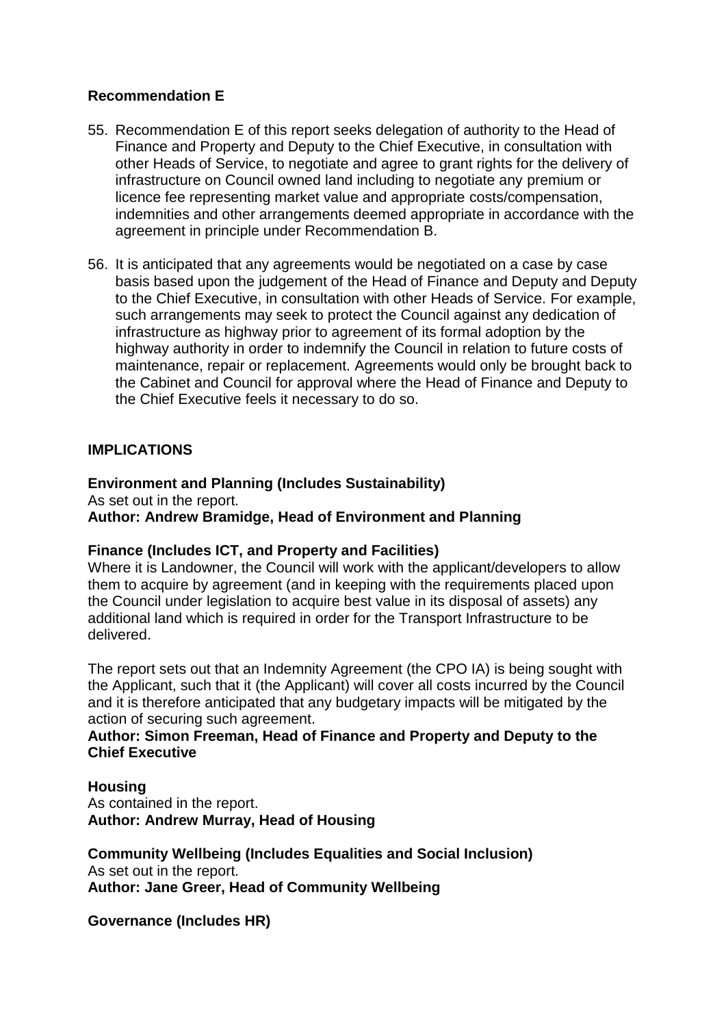### **Recommendation E**

- 55. Recommendation E of this report seeks delegation of authority to the Head of Finance and Property and Deputy to the Chief Executive, in consultation with other Heads of Service, to negotiate and agree to grant rights for the delivery of infrastructure on Council owned land including to negotiate any premium or licence fee representing market value and appropriate costs/compensation, indemnities and other arrangements deemed appropriate in accordance with the agreement in principle under Recommendation B.
- 56. It is anticipated that any agreements would be negotiated on a case by case basis based upon the judgement of the Head of Finance and Deputy and Deputy to the Chief Executive, in consultation with other Heads of Service. For example, such arrangements may seek to protect the Council against any dedication of infrastructure as highway prior to agreement of its formal adoption by the highway authority in order to indemnify the Council in relation to future costs of maintenance, repair or replacement. Agreements would only be brought back to the Cabinet and Council for approval where the Head of Finance and Deputy to the Chief Executive feels it necessary to do so.

### **IMPLICATIONS**

#### **Environment and Planning (Includes Sustainability)**

As set out in the report. **Author: Andrew Bramidge, Head of Environment and Planning** 

### **Finance (Includes ICT, and Property and Facilities)**

Where it is Landowner, the Council will work with the applicant/developers to allow them to acquire by agreement (and in keeping with the requirements placed upon the Council under legislation to acquire best value in its disposal of assets) any additional land which is required in order for the Transport Infrastructure to be delivered.

The report sets out that an Indemnity Agreement (the CPO IA) is being sought with the Applicant, such that it (the Applicant) will cover all costs incurred by the Council and it is therefore anticipated that any budgetary impacts will be mitigated by the action of securing such agreement.

### **Author: Simon Freeman, Head of Finance and Property and Deputy to the Chief Executive**

#### **Housing**

As contained in the report. **Author: Andrew Murray, Head of Housing**

**Community Wellbeing (Includes Equalities and Social Inclusion)** As set out in the report. **Author: Jane Greer, Head of Community Wellbeing**

**Governance (Includes HR)**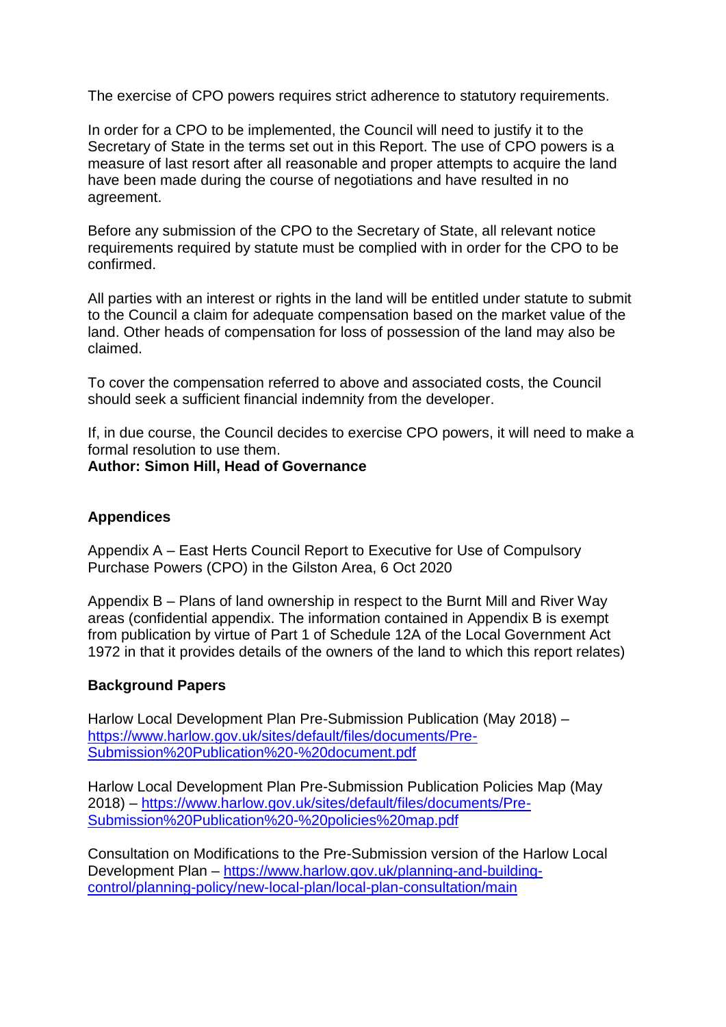The exercise of CPO powers requires strict adherence to statutory requirements.

In order for a CPO to be implemented, the Council will need to justify it to the Secretary of State in the terms set out in this Report. The use of CPO powers is a measure of last resort after all reasonable and proper attempts to acquire the land have been made during the course of negotiations and have resulted in no agreement.

Before any submission of the CPO to the Secretary of State, all relevant notice requirements required by statute must be complied with in order for the CPO to be confirmed.

All parties with an interest or rights in the land will be entitled under statute to submit to the Council a claim for adequate compensation based on the market value of the land. Other heads of compensation for loss of possession of the land may also be claimed.

To cover the compensation referred to above and associated costs, the Council should seek a sufficient financial indemnity from the developer.

If, in due course, the Council decides to exercise CPO powers, it will need to make a formal resolution to use them.

#### **Author: Simon Hill, Head of Governance**

### **Appendices**

Appendix A – East Herts Council Report to Executive for Use of Compulsory Purchase Powers (CPO) in the Gilston Area, 6 Oct 2020

Appendix B – Plans of land ownership in respect to the Burnt Mill and River Way areas (confidential appendix. The information contained in Appendix B is exempt from publication by virtue of Part 1 of Schedule 12A of the Local Government Act 1972 in that it provides details of the owners of the land to which this report relates)

### **Background Papers**

Harlow Local Development Plan Pre-Submission Publication (May 2018) – [https://www.harlow.gov.uk/sites/default/files/documents/Pre-](https://www.harlow.gov.uk/sites/default/files/documents/Pre-Submission%20Publication%20-%20document.pdf)[Submission%20Publication%20-%20document.pdf](https://www.harlow.gov.uk/sites/default/files/documents/Pre-Submission%20Publication%20-%20document.pdf)

Harlow Local Development Plan Pre-Submission Publication Policies Map (May 2018) – [https://www.harlow.gov.uk/sites/default/files/documents/Pre-](https://www.harlow.gov.uk/sites/default/files/documents/Pre-Submission%20Publication%20-%20policies%20map.pdf)[Submission%20Publication%20-%20policies%20map.pdf](https://www.harlow.gov.uk/sites/default/files/documents/Pre-Submission%20Publication%20-%20policies%20map.pdf)

Consultation on Modifications to the Pre-Submission version of the Harlow Local Development Plan – [https://www.harlow.gov.uk/planning-and-building](https://www.harlow.gov.uk/planning-and-building-control/planning-policy/new-local-plan/local-plan-consultation/main)[control/planning-policy/new-local-plan/local-plan-consultation/main](https://www.harlow.gov.uk/planning-and-building-control/planning-policy/new-local-plan/local-plan-consultation/main)